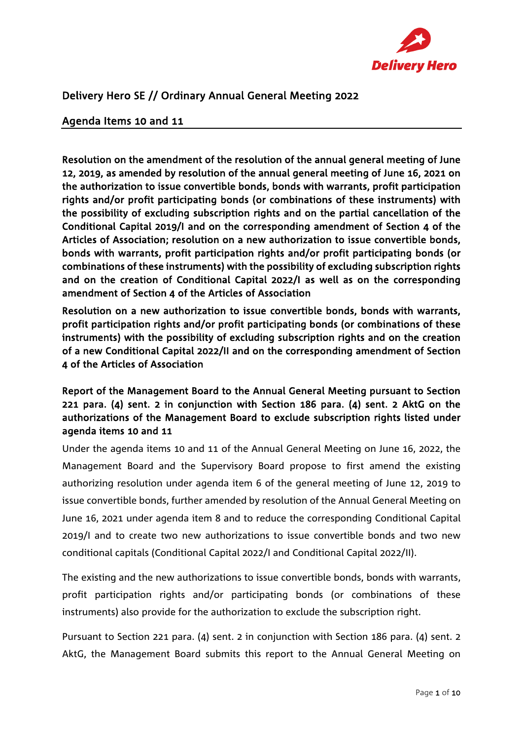

# Delivery Hero SE // Ordinary Annual General Meeting 2022

### Agenda Items 10 and 11

Resolution on the amendment of the resolution of the annual general meeting of June 12, 2019, as amended by resolution of the annual general meeting of June 16, 2021 on the authorization to issue convertible bonds, bonds with warrants, profit participation rights and/or profit participating bonds (or combinations of these instruments) with the possibility of excluding subscription rights and on the partial cancellation of the Conditional Capital 2019/I and on the corresponding amendment of Section 4 of the Articles of Association; resolution on a new authorization to issue convertible bonds, bonds with warrants, profit participation rights and/or profit participating bonds (or combinations of these instruments) with the possibility of excluding subscription rights and on the creation of Conditional Capital 2022/I as well as on the corresponding amendment of Section 4 of the Articles of Association

Resolution on a new authorization to issue convertible bonds, bonds with warrants, profit participation rights and/or profit participating bonds (or combinations of these instruments) with the possibility of excluding subscription rights and on the creation of a new Conditional Capital 2022/II and on the corresponding amendment of Section 4 of the Articles of Association

# Report of the Management Board to the Annual General Meeting pursuant to Section 221 para. (4) sent. 2 in conjunction with Section 186 para. (4) sent. 2 AktG on the authorizations of the Management Board to exclude subscription rights listed under agenda items 10 and 11

Under the agenda items 10 and 11 of the Annual General Meeting on June 16, 2022, the Management Board and the Supervisory Board propose to first amend the existing authorizing resolution under agenda item 6 of the general meeting of June 12, 2019 to issue convertible bonds, further amended by resolution of the Annual General Meeting on June 16, 2021 under agenda item 8 and to reduce the corresponding Conditional Capital 2019/I and to create two new authorizations to issue convertible bonds and two new conditional capitals (Conditional Capital 2022/I and Conditional Capital 2022/II).

The existing and the new authorizations to issue convertible bonds, bonds with warrants, profit participation rights and/or participating bonds (or combinations of these instruments) also provide for the authorization to exclude the subscription right.

Pursuant to Section 221 para. (4) sent. 2 in conjunction with Section 186 para. (4) sent. 2 AktG, the Management Board submits this report to the Annual General Meeting on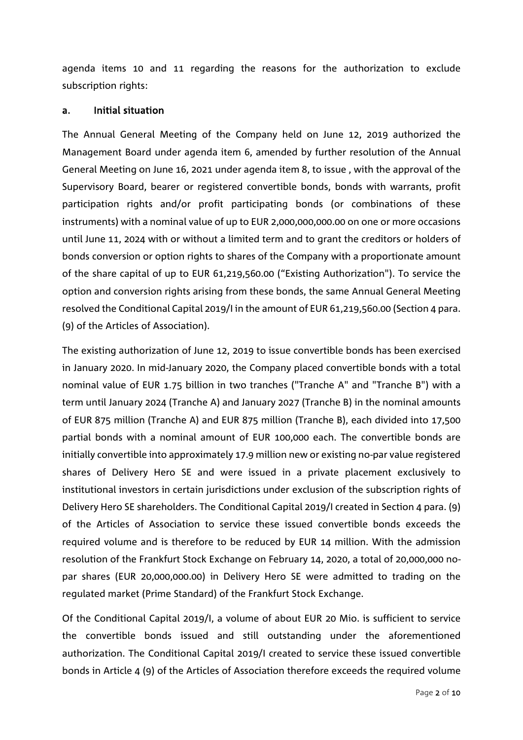agenda items 10 and 11 regarding the reasons for the authorization to exclude subscription rights:

#### a. Initial situation

The Annual General Meeting of the Company held on June 12, 2019 authorized the Management Board under agenda item 6, amended by further resolution of the Annual General Meeting on June 16, 2021 under agenda item 8, to issue , with the approval of the Supervisory Board, bearer or registered convertible bonds, bonds with warrants, profit participation rights and/or profit participating bonds (or combinations of these instruments) with a nominal value of up to EUR 2,000,000,000.00 on one or more occasions until June 11, 2024 with or without a limited term and to grant the creditors or holders of bonds conversion or option rights to shares of the Company with a proportionate amount of the share capital of up to EUR 61,219,560.00 ("Existing Authorization"). To service the option and conversion rights arising from these bonds, the same Annual General Meeting resolved the Conditional Capital 2019/I in the amount of EUR 61,219,560.00 (Section 4 para. (9) of the Articles of Association).

The existing authorization of June 12, 2019 to issue convertible bonds has been exercised in January 2020. In mid-January 2020, the Company placed convertible bonds with a total nominal value of EUR 1.75 billion in two tranches ("Tranche A" and "Tranche B") with a term until January 2024 (Tranche A) and January 2027 (Tranche B) in the nominal amounts of EUR 875 million (Tranche A) and EUR 875 million (Tranche B), each divided into 17,500 partial bonds with a nominal amount of EUR 100,000 each. The convertible bonds are initially convertible into approximately 17.9 million new or existing no-par value registered shares of Delivery Hero SE and were issued in a private placement exclusively to institutional investors in certain jurisdictions under exclusion of the subscription rights of Delivery Hero SE shareholders. The Conditional Capital 2019/I created in Section 4 para. (9) of the Articles of Association to service these issued convertible bonds exceeds the required volume and is therefore to be reduced by EUR 14 million. With the admission resolution of the Frankfurt Stock Exchange on February 14, 2020, a total of 20,000,000 nopar shares (EUR 20,000,000.00) in Delivery Hero SE were admitted to trading on the regulated market (Prime Standard) of the Frankfurt Stock Exchange.

Of the Conditional Capital 2019/I, a volume of about EUR 20 Mio. is sufficient to service the convertible bonds issued and still outstanding under the aforementioned authorization. The Conditional Capital 2019/I created to service these issued convertible bonds in Article 4 (9) of the Articles of Association therefore exceeds the required volume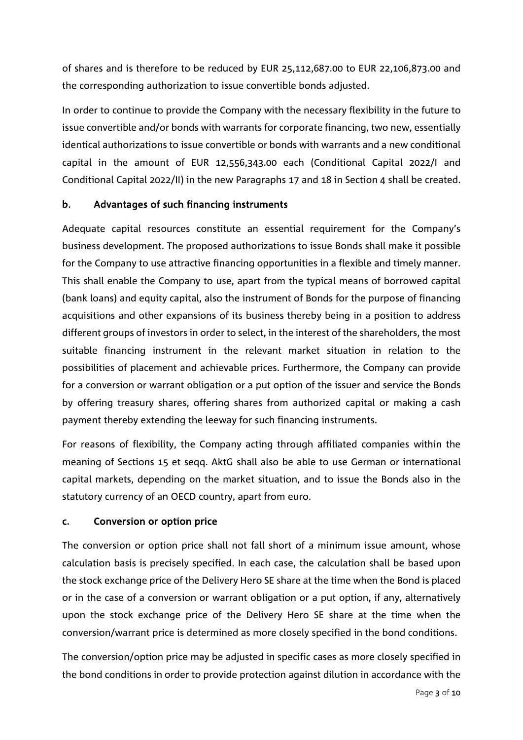of shares and is therefore to be reduced by EUR 25,112,687.00 to EUR 22,106,873.00 and the corresponding authorization to issue convertible bonds adjusted.

In order to continue to provide the Company with the necessary flexibility in the future to issue convertible and/or bonds with warrants for corporate financing, two new, essentially identical authorizations to issue convertible or bonds with warrants and a new conditional capital in the amount of EUR 12,556,343.00 each (Conditional Capital 2022/I and Conditional Capital 2022/II) in the new Paragraphs 17 and 18 in Section 4 shall be created.

## b. Advantages of such financing instruments

Adequate capital resources constitute an essential requirement for the Company's business development. The proposed authorizations to issue Bonds shall make it possible for the Company to use attractive financing opportunities in a flexible and timely manner. This shall enable the Company to use, apart from the typical means of borrowed capital (bank loans) and equity capital, also the instrument of Bonds for the purpose of financing acquisitions and other expansions of its business thereby being in a position to address different groups of investors in order to select, in the interest of the shareholders, the most suitable financing instrument in the relevant market situation in relation to the possibilities of placement and achievable prices. Furthermore, the Company can provide for a conversion or warrant obligation or a put option of the issuer and service the Bonds by offering treasury shares, offering shares from authorized capital or making a cash payment thereby extending the leeway for such financing instruments.

For reasons of flexibility, the Company acting through affiliated companies within the meaning of Sections 15 et seqq. AktG shall also be able to use German or international capital markets, depending on the market situation, and to issue the Bonds also in the statutory currency of an OECD country, apart from euro.

#### c. Conversion or option price

The conversion or option price shall not fall short of a minimum issue amount, whose calculation basis is precisely specified. In each case, the calculation shall be based upon the stock exchange price of the Delivery Hero SE share at the time when the Bond is placed or in the case of a conversion or warrant obligation or a put option, if any, alternatively upon the stock exchange price of the Delivery Hero SE share at the time when the conversion/warrant price is determined as more closely specified in the bond conditions.

The conversion/option price may be adjusted in specific cases as more closely specified in the bond conditions in order to provide protection against dilution in accordance with the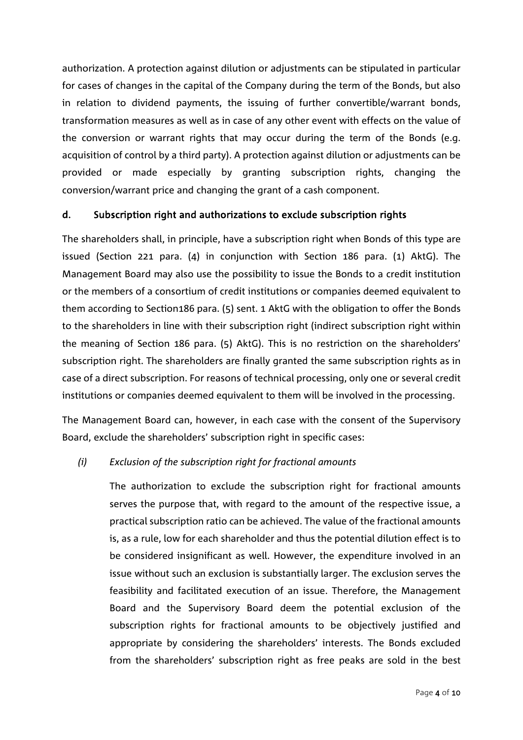authorization. A protection against dilution or adjustments can be stipulated in particular for cases of changes in the capital of the Company during the term of the Bonds, but also in relation to dividend payments, the issuing of further convertible/warrant bonds, transformation measures as well as in case of any other event with effects on the value of the conversion or warrant rights that may occur during the term of the Bonds (e.g. acquisition of control by a third party). A protection against dilution or adjustments can be provided or made especially by granting subscription rights, changing the conversion/warrant price and changing the grant of a cash component.

## d. Subscription right and authorizations to exclude subscription rights

The shareholders shall, in principle, have a subscription right when Bonds of this type are issued (Section 221 para. (4) in conjunction with Section 186 para. (1) AktG). The Management Board may also use the possibility to issue the Bonds to a credit institution or the members of a consortium of credit institutions or companies deemed equivalent to them according to Section186 para. (5) sent. 1 AktG with the obligation to offer the Bonds to the shareholders in line with their subscription right (indirect subscription right within the meaning of Section 186 para. (5) AktG). This is no restriction on the shareholders' subscription right. The shareholders are finally granted the same subscription rights as in case of a direct subscription. For reasons of technical processing, only one or several credit institutions or companies deemed equivalent to them will be involved in the processing.

The Management Board can, however, in each case with the consent of the Supervisory Board, exclude the shareholders' subscription right in specific cases:

#### *(i) Exclusion of the subscription right for fractional amounts*

The authorization to exclude the subscription right for fractional amounts serves the purpose that, with regard to the amount of the respective issue, a practical subscription ratio can be achieved. The value of the fractional amounts is, as a rule, low for each shareholder and thus the potential dilution effect is to be considered insignificant as well. However, the expenditure involved in an issue without such an exclusion is substantially larger. The exclusion serves the feasibility and facilitated execution of an issue. Therefore, the Management Board and the Supervisory Board deem the potential exclusion of the subscription rights for fractional amounts to be objectively justified and appropriate by considering the shareholders' interests. The Bonds excluded from the shareholders' subscription right as free peaks are sold in the best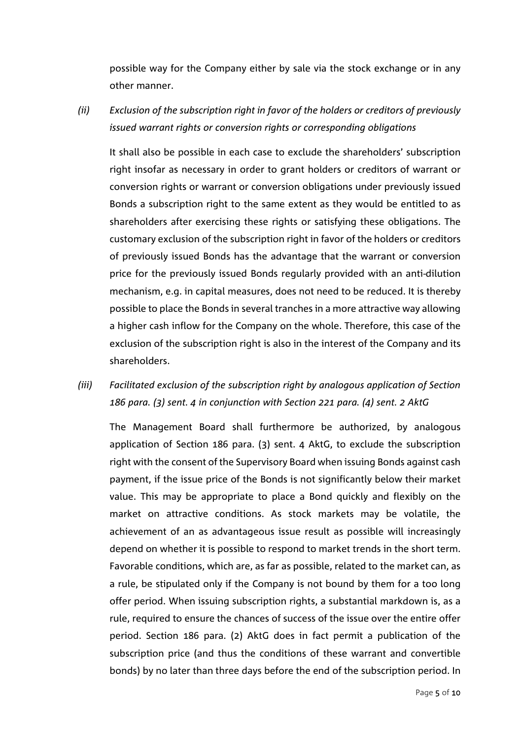possible way for the Company either by sale via the stock exchange or in any other manner.

*(ii) Exclusion of the subscription right in favor of the holders or creditors of previously issued warrant rights or conversion rights or corresponding obligations*

It shall also be possible in each case to exclude the shareholders' subscription right insofar as necessary in order to grant holders or creditors of warrant or conversion rights or warrant or conversion obligations under previously issued Bonds a subscription right to the same extent as they would be entitled to as shareholders after exercising these rights or satisfying these obligations. The customary exclusion of the subscription right in favor of the holders or creditors of previously issued Bonds has the advantage that the warrant or conversion price for the previously issued Bonds regularly provided with an anti-dilution mechanism, e.g. in capital measures, does not need to be reduced. It is thereby possible to place the Bonds in several tranches in a more attractive way allowing a higher cash inflow for the Company on the whole. Therefore, this case of the exclusion of the subscription right is also in the interest of the Company and its shareholders.

# *(iii) Facilitated exclusion of the subscription right by analogous application of Section 186 para. (3) sent. 4 in conjunction with Section 221 para. (4) sent. 2 AktG*

The Management Board shall furthermore be authorized, by analogous application of Section 186 para. (3) sent. 4 AktG, to exclude the subscription right with the consent of the Supervisory Board when issuing Bonds against cash payment, if the issue price of the Bonds is not significantly below their market value. This may be appropriate to place a Bond quickly and flexibly on the market on attractive conditions. As stock markets may be volatile, the achievement of an as advantageous issue result as possible will increasingly depend on whether it is possible to respond to market trends in the short term. Favorable conditions, which are, as far as possible, related to the market can, as a rule, be stipulated only if the Company is not bound by them for a too long offer period. When issuing subscription rights, a substantial markdown is, as a rule, required to ensure the chances of success of the issue over the entire offer period. Section 186 para. (2) AktG does in fact permit a publication of the subscription price (and thus the conditions of these warrant and convertible bonds) by no later than three days before the end of the subscription period. In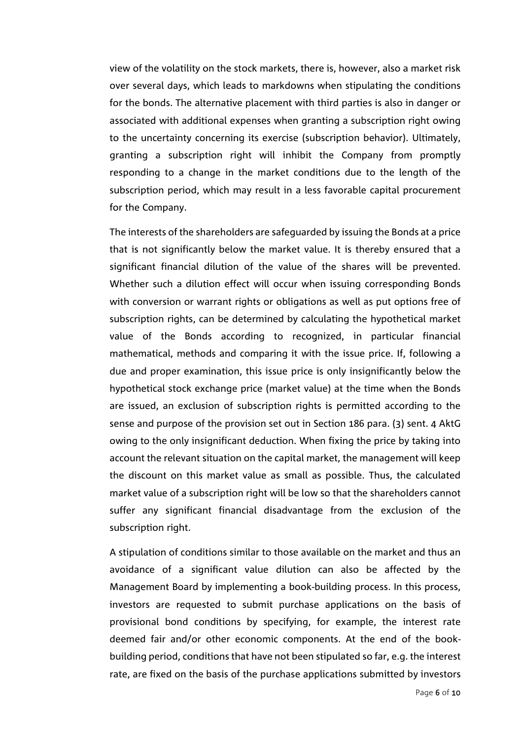view of the volatility on the stock markets, there is, however, also a market risk over several days, which leads to markdowns when stipulating the conditions for the bonds. The alternative placement with third parties is also in danger or associated with additional expenses when granting a subscription right owing to the uncertainty concerning its exercise (subscription behavior). Ultimately, granting a subscription right will inhibit the Company from promptly responding to a change in the market conditions due to the length of the subscription period, which may result in a less favorable capital procurement for the Company.

The interests of the shareholders are safeguarded by issuing the Bonds at a price that is not significantly below the market value. It is thereby ensured that a significant financial dilution of the value of the shares will be prevented. Whether such a dilution effect will occur when issuing corresponding Bonds with conversion or warrant rights or obligations as well as put options free of subscription rights, can be determined by calculating the hypothetical market value of the Bonds according to recognized, in particular financial mathematical, methods and comparing it with the issue price. If, following a due and proper examination, this issue price is only insignificantly below the hypothetical stock exchange price (market value) at the time when the Bonds are issued, an exclusion of subscription rights is permitted according to the sense and purpose of the provision set out in Section 186 para. (3) sent. 4 AktG owing to the only insignificant deduction. When fixing the price by taking into account the relevant situation on the capital market, the management will keep the discount on this market value as small as possible. Thus, the calculated market value of a subscription right will be low so that the shareholders cannot suffer any significant financial disadvantage from the exclusion of the subscription right.

A stipulation of conditions similar to those available on the market and thus an avoidance of a significant value dilution can also be affected by the Management Board by implementing a book-building process. In this process, investors are requested to submit purchase applications on the basis of provisional bond conditions by specifying, for example, the interest rate deemed fair and/or other economic components. At the end of the bookbuilding period, conditions that have not been stipulated so far, e.g. the interest rate, are fixed on the basis of the purchase applications submitted by investors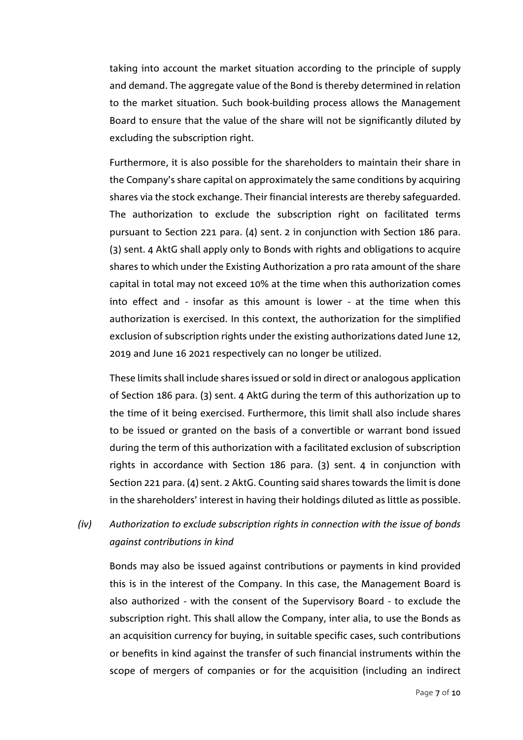taking into account the market situation according to the principle of supply and demand. The aggregate value of the Bond is thereby determined in relation to the market situation. Such book-building process allows the Management Board to ensure that the value of the share will not be significantly diluted by excluding the subscription right.

Furthermore, it is also possible for the shareholders to maintain their share in the Company's share capital on approximately the same conditions by acquiring shares via the stock exchange. Their financial interests are thereby safeguarded. The authorization to exclude the subscription right on facilitated terms pursuant to Section 221 para. (4) sent. 2 in conjunction with Section 186 para. (3) sent. 4 AktG shall apply only to Bonds with rights and obligations to acquire shares to which under the Existing Authorization a pro rata amount of the share capital in total may not exceed 10% at the time when this authorization comes into effect and - insofar as this amount is lower - at the time when this authorization is exercised. In this context, the authorization for the simplified exclusion of subscription rights under the existing authorizations dated June 12, 2019 and June 16 2021 respectively can no longer be utilized.

These limits shall include shares issued or sold in direct or analogous application of Section 186 para. (3) sent. 4 AktG during the term of this authorization up to the time of it being exercised. Furthermore, this limit shall also include shares to be issued or granted on the basis of a convertible or warrant bond issued during the term of this authorization with a facilitated exclusion of subscription rights in accordance with Section 186 para. (3) sent. 4 in conjunction with Section 221 para. (4) sent. 2 AktG. Counting said shares towards the limit is done in the shareholders' interest in having their holdings diluted as little as possible.

# *(iv) Authorization to exclude subscription rights in connection with the issue of bonds against contributions in kind*

Bonds may also be issued against contributions or payments in kind provided this is in the interest of the Company. In this case, the Management Board is also authorized - with the consent of the Supervisory Board - to exclude the subscription right. This shall allow the Company, inter alia, to use the Bonds as an acquisition currency for buying, in suitable specific cases, such contributions or benefits in kind against the transfer of such financial instruments within the scope of mergers of companies or for the acquisition (including an indirect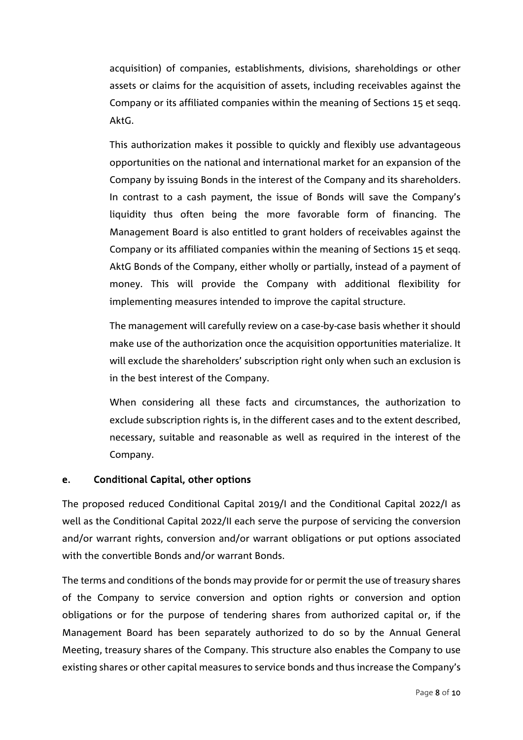acquisition) of companies, establishments, divisions, shareholdings or other assets or claims for the acquisition of assets, including receivables against the Company or its affiliated companies within the meaning of Sections 15 et seqq. AktG.

This authorization makes it possible to quickly and flexibly use advantageous opportunities on the national and international market for an expansion of the Company by issuing Bonds in the interest of the Company and its shareholders. In contrast to a cash payment, the issue of Bonds will save the Company's liquidity thus often being the more favorable form of financing. The Management Board is also entitled to grant holders of receivables against the Company or its affiliated companies within the meaning of Sections 15 et seqq. AktG Bonds of the Company, either wholly or partially, instead of a payment of money. This will provide the Company with additional flexibility for implementing measures intended to improve the capital structure.

The management will carefully review on a case-by-case basis whether it should make use of the authorization once the acquisition opportunities materialize. It will exclude the shareholders' subscription right only when such an exclusion is in the best interest of the Company.

When considering all these facts and circumstances, the authorization to exclude subscription rights is, in the different cases and to the extent described, necessary, suitable and reasonable as well as required in the interest of the Company.

#### e. Conditional Capital, other options

The proposed reduced Conditional Capital 2019/I and the Conditional Capital 2022/I as well as the Conditional Capital 2022/II each serve the purpose of servicing the conversion and/or warrant rights, conversion and/or warrant obligations or put options associated with the convertible Bonds and/or warrant Bonds.

The terms and conditions of the bonds may provide for or permit the use of treasury shares of the Company to service conversion and option rights or conversion and option obligations or for the purpose of tendering shares from authorized capital or, if the Management Board has been separately authorized to do so by the Annual General Meeting, treasury shares of the Company. This structure also enables the Company to use existing shares or other capital measures to service bonds and thus increase the Company's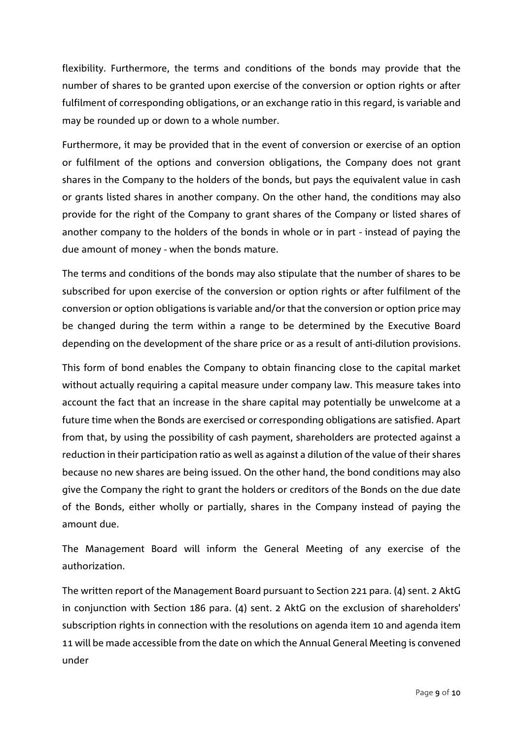flexibility. Furthermore, the terms and conditions of the bonds may provide that the number of shares to be granted upon exercise of the conversion or option rights or after fulfilment of corresponding obligations, or an exchange ratio in this regard, is variable and may be rounded up or down to a whole number.

Furthermore, it may be provided that in the event of conversion or exercise of an option or fulfilment of the options and conversion obligations, the Company does not grant shares in the Company to the holders of the bonds, but pays the equivalent value in cash or grants listed shares in another company. On the other hand, the conditions may also provide for the right of the Company to grant shares of the Company or listed shares of another company to the holders of the bonds in whole or in part - instead of paying the due amount of money - when the bonds mature.

The terms and conditions of the bonds may also stipulate that the number of shares to be subscribed for upon exercise of the conversion or option rights or after fulfilment of the conversion or option obligations is variable and/or that the conversion or option price may be changed during the term within a range to be determined by the Executive Board depending on the development of the share price or as a result of anti-dilution provisions.

This form of bond enables the Company to obtain financing close to the capital market without actually requiring a capital measure under company law. This measure takes into account the fact that an increase in the share capital may potentially be unwelcome at a future time when the Bonds are exercised or corresponding obligations are satisfied. Apart from that, by using the possibility of cash payment, shareholders are protected against a reduction in their participation ratio as well as against a dilution of the value of their shares because no new shares are being issued. On the other hand, the bond conditions may also give the Company the right to grant the holders or creditors of the Bonds on the due date of the Bonds, either wholly or partially, shares in the Company instead of paying the amount due.

The Management Board will inform the General Meeting of any exercise of the authorization.

The written report of the Management Board pursuant to Section 221 para. (4) sent. 2 AktG in conjunction with Section 186 para. (4) sent. 2 AktG on the exclusion of shareholders' subscription rights in connection with the resolutions on agenda item 10 and agenda item 11 will be made accessible from the date on which the Annual General Meeting is convened under